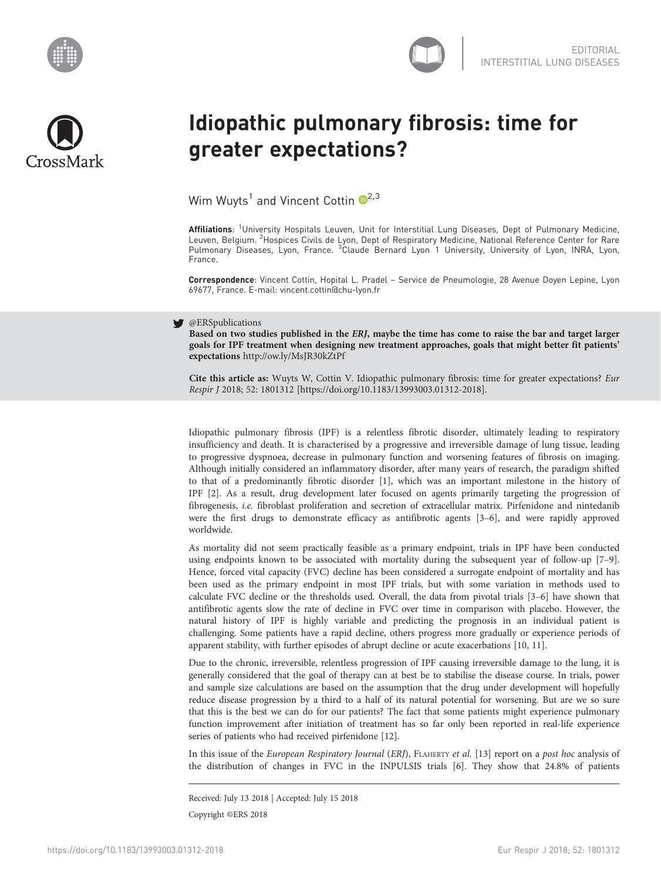



## Idiopathic pulmonary fibrosis: time for greater expectations?

Wim Wuyts<sup>1</sup> and Vincent Cottin  $\mathbb{D}^{2,3}$ 

Affiliations: <sup>1</sup>University Hospitals Leuven, Unit for Interstitial Lung Diseases, Dept of Pulmonary Medicine, Leuven, Belgium. <sup>2</sup>Hospices Civils de Lyon, Dept of Respiratory Medicine, National Reference Center for Rare Pulmonary Diseases, Lyon, France. <sup>3</sup>Claude Bernard Lyon 1 University, University of Lyon, INRA, Lyon, France.

Correspondence: Vincent Cottin, Hopital L. Pradel – Service de Pneumologie, 28 Avenue Doyen Lepine, Lyon 69677, France. E-mail: [vincent.cottin@chu-lyon.fr](mailto:vincent.cottin@chu-lyon.fr)

## **@ERSpublications**

Based on two studies published in the ERJ, maybe the time has come to raise the bar and target larger goals for IPF treatment when designing new treatment approaches, goals that might better fit patients' expectations <http://ow.ly/MsJR30kZtPf>

Cite this article as: Wuyts W, Cottin V. Idiopathic pulmonary fibrosis: time for greater expectations? Eur Respir J 2018; 52: 1801312 [\[https://doi.org/10.1183/13993003.01312-2018\].](https://doi.org/10.1183/13993003.01312-2018)

Idiopathic pulmonary fibrosis (IPF) is a relentless fibrotic disorder, ultimately leading to respiratory insufficiency and death. It is characterised by a progressive and irreversible damage of lung tissue, leading to progressive dyspnoea, decrease in pulmonary function and worsening features of fibrosis on imaging. Although initially considered an inflammatory disorder, after many years of research, the paradigm shifted to that of a predominantly fibrotic disorder [[1](#page-2-0)], which was an important milestone in the history of IPF [\[2\]](#page-2-0). As a result, drug development later focused on agents primarily targeting the progression of fibrogenesis, i.e. fibroblast proliferation and secretion of extracellular matrix. Pirfenidone and nintedanib were the first drugs to demonstrate efficacy as antifibrotic agents [\[3](#page-2-0)–[6](#page-2-0)], and were rapidly approved worldwide.

As mortality did not seem practically feasible as a primary endpoint, trials in IPF have been conducted using endpoints known to be associated with mortality during the subsequent year of follow-up [\[7](#page-2-0)–[9](#page-2-0)]. Hence, forced vital capacity (FVC) decline has been considered a surrogate endpoint of mortality and has been used as the primary endpoint in most IPF trials, but with some variation in methods used to calculate FVC decline or the thresholds used. Overall, the data from pivotal trials [\[3](#page-2-0)–[6\]](#page-2-0) have shown that antifibrotic agents slow the rate of decline in FVC over time in comparison with placebo. However, the natural history of IPF is highly variable and predicting the prognosis in an individual patient is challenging. Some patients have a rapid decline, others progress more gradually or experience periods of apparent stability, with further episodes of abrupt decline or acute exacerbations [\[10, 11](#page-2-0)].

Due to the chronic, irreversible, relentless progression of IPF causing irreversible damage to the lung, it is generally considered that the goal of therapy can at best be to stabilise the disease course. In trials, power and sample size calculations are based on the assumption that the drug under development will hopefully reduce disease progression by a third to a half of its natural potential for worsening. But are we so sure that this is the best we can do for our patients? The fact that some patients might experience pulmonary function improvement after initiation of treatment has so far only been reported in real-life experience series of patients who had received pirfenidone [\[12](#page-2-0)].

In this issue of the European Respiratory Journal (ERJ), FLAHERTY et al. [\[13\]](#page-2-0) report on a post hoc analysis of the distribution of changes in FVC in the INPULSIS trials [\[6\]](#page-2-0). They show that 24.8% of patients

Received: July 13 2018 | Accepted: July 15 2018

Copyright ©ERS 2018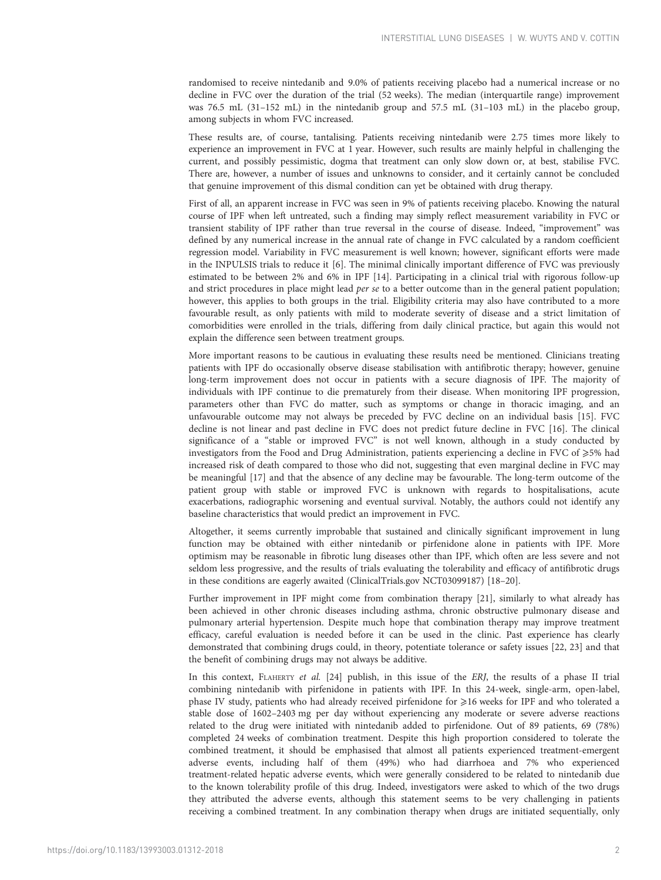randomised to receive nintedanib and 9.0% of patients receiving placebo had a numerical increase or no decline in FVC over the duration of the trial (52 weeks). The median (interquartile range) improvement was 76.5 mL (31–152 mL) in the nintedanib group and 57.5 mL (31–103 mL) in the placebo group, among subjects in whom FVC increased.

These results are, of course, tantalising. Patients receiving nintedanib were 2.75 times more likely to experience an improvement in FVC at 1 year. However, such results are mainly helpful in challenging the current, and possibly pessimistic, dogma that treatment can only slow down or, at best, stabilise FVC. There are, however, a number of issues and unknowns to consider, and it certainly cannot be concluded that genuine improvement of this dismal condition can yet be obtained with drug therapy.

First of all, an apparent increase in FVC was seen in 9% of patients receiving placebo. Knowing the natural course of IPF when left untreated, such a finding may simply reflect measurement variability in FVC or transient stability of IPF rather than true reversal in the course of disease. Indeed, "improvement" was defined by any numerical increase in the annual rate of change in FVC calculated by a random coefficient regression model. Variability in FVC measurement is well known; however, significant efforts were made in the INPULSIS trials to reduce it [\[6\]](#page-2-0). The minimal clinically important difference of FVC was previously estimated to be between 2% and 6% in IPF [\[14](#page-2-0)]. Participating in a clinical trial with rigorous follow-up and strict procedures in place might lead *per se* to a better outcome than in the general patient population; however, this applies to both groups in the trial. Eligibility criteria may also have contributed to a more favourable result, as only patients with mild to moderate severity of disease and a strict limitation of comorbidities were enrolled in the trials, differing from daily clinical practice, but again this would not explain the difference seen between treatment groups.

More important reasons to be cautious in evaluating these results need be mentioned. Clinicians treating patients with IPF do occasionally observe disease stabilisation with antifibrotic therapy; however, genuine long-term improvement does not occur in patients with a secure diagnosis of IPF. The majority of individuals with IPF continue to die prematurely from their disease. When monitoring IPF progression, parameters other than FVC do matter, such as symptoms or change in thoracic imaging, and an unfavourable outcome may not always be preceded by FVC decline on an individual basis [[15](#page-3-0)]. FVC decline is not linear and past decline in FVC does not predict future decline in FVC [[16](#page-3-0)]. The clinical significance of a "stable or improved FVC" is not well known, although in a study conducted by investigators from the Food and Drug Administration, patients experiencing a decline in FVC of  $\geq 5\%$  had increased risk of death compared to those who did not, suggesting that even marginal decline in FVC may be meaningful [\[17\]](#page-3-0) and that the absence of any decline may be favourable. The long-term outcome of the patient group with stable or improved FVC is unknown with regards to hospitalisations, acute exacerbations, radiographic worsening and eventual survival. Notably, the authors could not identify any baseline characteristics that would predict an improvement in FVC.

Altogether, it seems currently improbable that sustained and clinically significant improvement in lung function may be obtained with either nintedanib or pirfenidone alone in patients with IPF. More optimism may be reasonable in fibrotic lung diseases other than IPF, which often are less severe and not seldom less progressive, and the results of trials evaluating the tolerability and efficacy of antifibrotic drugs in these conditions are eagerly awaited (ClinicalTrials.gov NCT03099187) [\[18](#page-3-0)–[20](#page-3-0)].

Further improvement in IPF might come from combination therapy [[21](#page-3-0)], similarly to what already has been achieved in other chronic diseases including asthma, chronic obstructive pulmonary disease and pulmonary arterial hypertension. Despite much hope that combination therapy may improve treatment efficacy, careful evaluation is needed before it can be used in the clinic. Past experience has clearly demonstrated that combining drugs could, in theory, potentiate tolerance or safety issues [\[22, 23](#page-3-0)] and that the benefit of combining drugs may not always be additive.

In this context, FLAHERTY et al. [[24\]](#page-3-0) publish, in this issue of the ERJ, the results of a phase II trial combining nintedanib with pirfenidone in patients with IPF. In this 24-week, single-arm, open-label, phase IV study, patients who had already received pirfenidone for ≥16 weeks for IPF and who tolerated a stable dose of 1602–2403 mg per day without experiencing any moderate or severe adverse reactions related to the drug were initiated with nintedanib added to pirfenidone. Out of 89 patients, 69 (78%) completed 24 weeks of combination treatment. Despite this high proportion considered to tolerate the combined treatment, it should be emphasised that almost all patients experienced treatment-emergent adverse events, including half of them (49%) who had diarrhoea and 7% who experienced treatment-related hepatic adverse events, which were generally considered to be related to nintedanib due to the known tolerability profile of this drug. Indeed, investigators were asked to which of the two drugs they attributed the adverse events, although this statement seems to be very challenging in patients receiving a combined treatment. In any combination therapy when drugs are initiated sequentially, only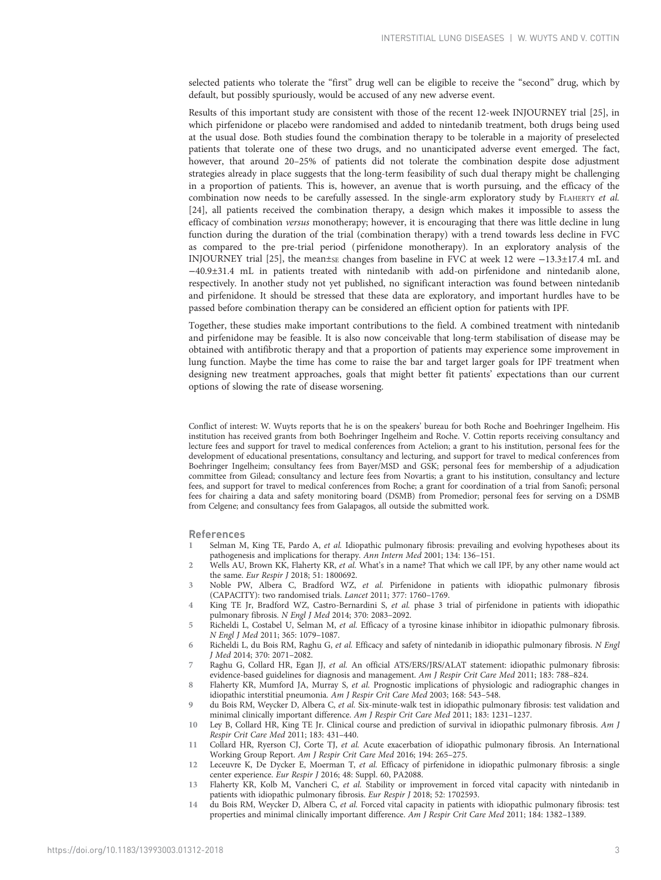<span id="page-2-0"></span>selected patients who tolerate the "first" drug well can be eligible to receive the "second" drug, which by default, but possibly spuriously, would be accused of any new adverse event.

Results of this important study are consistent with those of the recent 12-week INJOURNEY trial [\[25](#page-3-0)], in which pirfenidone or placebo were randomised and added to nintedanib treatment, both drugs being used at the usual dose. Both studies found the combination therapy to be tolerable in a majority of preselected patients that tolerate one of these two drugs, and no unanticipated adverse event emerged. The fact, however, that around 20–25% of patients did not tolerate the combination despite dose adjustment strategies already in place suggests that the long-term feasibility of such dual therapy might be challenging in a proportion of patients. This is, however, an avenue that is worth pursuing, and the efficacy of the combination now needs to be carefully assessed. In the single-arm exploratory study by FLAHERTY et al. [\[24\]](#page-3-0), all patients received the combination therapy, a design which makes it impossible to assess the efficacy of combination versus monotherapy; however, it is encouraging that there was little decline in lung function during the duration of the trial (combination therapy) with a trend towards less decline in FVC as compared to the pre-trial period ( pirfenidone monotherapy). In an exploratory analysis of the INJOURNEY trial [[25](#page-3-0)], the mean±SE changes from baseline in FVC at week 12 were −13.3±17.4 mL and −40.9±31.4 mL in patients treated with nintedanib with add-on pirfenidone and nintedanib alone, respectively. In another study not yet published, no significant interaction was found between nintedanib and pirfenidone. It should be stressed that these data are exploratory, and important hurdles have to be passed before combination therapy can be considered an efficient option for patients with IPF.

Together, these studies make important contributions to the field. A combined treatment with nintedanib and pirfenidone may be feasible. It is also now conceivable that long-term stabilisation of disease may be obtained with antifibrotic therapy and that a proportion of patients may experience some improvement in lung function. Maybe the time has come to raise the bar and target larger goals for IPF treatment when designing new treatment approaches, goals that might better fit patients' expectations than our current options of slowing the rate of disease worsening.

Conflict of interest: W. Wuyts reports that he is on the speakers' bureau for both Roche and Boehringer Ingelheim. His institution has received grants from both Boehringer Ingelheim and Roche. V. Cottin reports receiving consultancy and lecture fees and support for travel to medical conferences from Actelion; a grant to his institution, personal fees for the development of educational presentations, consultancy and lecturing, and support for travel to medical conferences from Boehringer Ingelheim; consultancy fees from Bayer/MSD and GSK; personal fees for membership of a adjudication committee from Gilead; consultancy and lecture fees from Novartis; a grant to his institution, consultancy and lecture fees, and support for travel to medical conferences from Roche; a grant for coordination of a trial from Sanofi; personal fees for chairing a data and safety monitoring board (DSMB) from Promedior; personal fees for serving on a DSMB from Celgene; and consultancy fees from Galapagos, all outside the submitted work.

## References

- 1 Selman M, King TE, Pardo A, et al. Idiopathic pulmonary fibrosis: prevailing and evolving hypotheses about its pathogenesis and implications for therapy. Ann Intern Med 2001; 134: 136–151.
- 2 Wells AU, Brown KK, Flaherty KR, et al. What's in a name? That which we call IPF, by any other name would act the same. Eur Respir J 2018; 51: 1800692.
- 3 Noble PW, Albera C, Bradford WZ, et al. Pirfenidone in patients with idiopathic pulmonary fibrosis (CAPACITY): two randomised trials. Lancet 2011; 377: 1760–1769.
- 4 King TE Jr, Bradford WZ, Castro-Bernardini S, et al. phase 3 trial of pirfenidone in patients with idiopathic pulmonary fibrosis. N Engl J Med 2014; 370: 2083–2092.
- 5 Richeldi L, Costabel U, Selman M, et al. Efficacy of a tyrosine kinase inhibitor in idiopathic pulmonary fibrosis. N Engl J Med 2011; 365: 1079–1087.
- 6 Richeldi L, du Bois RM, Raghu G, et al. Efficacy and safety of nintedanib in idiopathic pulmonary fibrosis. N Engl J Med 2014; 370: 2071–2082.
- 7 Raghu G, Collard HR, Egan JJ, et al. An official ATS/ERS/JRS/ALAT statement: idiopathic pulmonary fibrosis: evidence-based guidelines for diagnosis and management. Am J Respir Crit Care Med 2011; 183: 788–824.
- 8 Flaherty KR, Mumford JA, Murray S, et al. Prognostic implications of physiologic and radiographic changes in idiopathic interstitial pneumonia. Am J Respir Crit Care Med 2003; 168: 543–548.
- 9 du Bois RM, Weycker D, Albera C, et al. Six-minute-walk test in idiopathic pulmonary fibrosis: test validation and minimal clinically important difference. Am J Respir Crit Care Med 2011; 183: 1231–1237.
- 10 Ley B, Collard HR, King TE Jr. Clinical course and prediction of survival in idiopathic pulmonary fibrosis. Am J Respir Crit Care Med 2011; 183: 431–440.
- 11 Collard HR, Ryerson CJ, Corte TJ, et al. Acute exacerbation of idiopathic pulmonary fibrosis. An International Working Group Report. Am J Respir Crit Care Med 2016; 194: 265–275.
- 12 Leceuvre K, De Dycker E, Moerman T, et al. Efficacy of pirfenidone in idiopathic pulmonary fibrosis: a single center experience. Eur Respir J 2016; 48: Suppl. 60, PA2088.
- 13 Flaherty KR, Kolb M, Vancheri C, et al. Stability or improvement in forced vital capacity with nintedanib in patients with idiopathic pulmonary fibrosis. Eur Respir J 2018; 52: 1702593.
- 14 du Bois RM, Weycker D, Albera C, et al. Forced vital capacity in patients with idiopathic pulmonary fibrosis: test properties and minimal clinically important difference. Am J Respir Crit Care Med 2011; 184: 1382–1389.